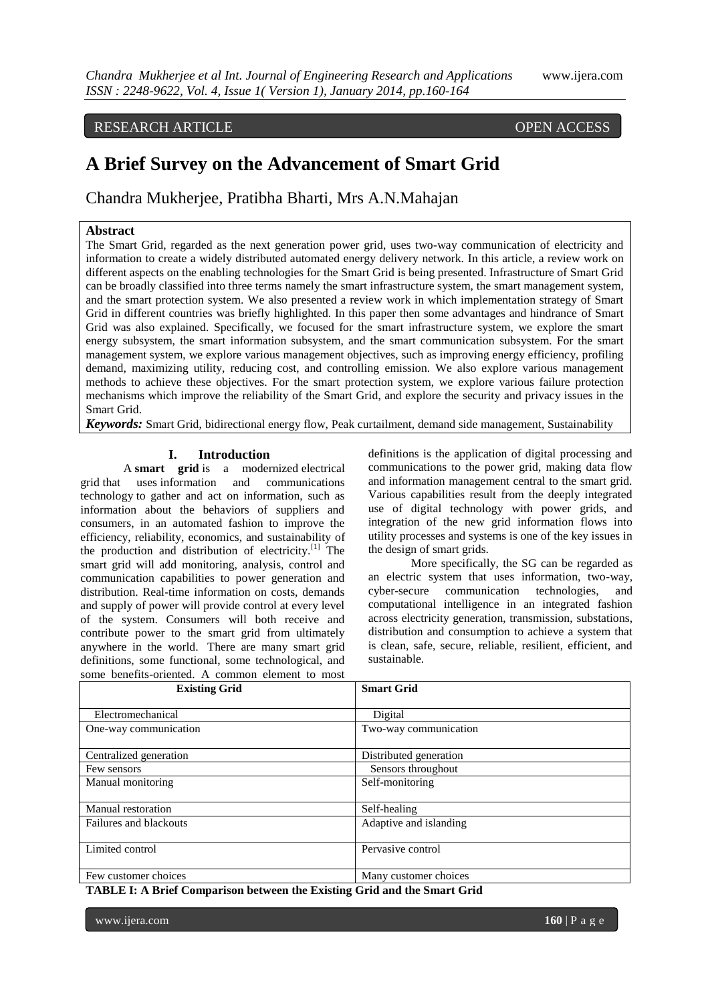# RESEARCH ARTICLE OPEN ACCESS

# **A Brief Survey on the Advancement of Smart Grid**

Chandra Mukherjee, Pratibha Bharti, Mrs A.N.Mahajan

# **Abstract**

The Smart Grid, regarded as the next generation power grid, uses two-way communication of electricity and information to create a widely distributed automated energy delivery network. In this article, a review work on different aspects on the enabling technologies for the Smart Grid is being presented. Infrastructure of Smart Grid can be broadly classified into three terms namely the smart infrastructure system, the smart management system, and the smart protection system. We also presented a review work in which implementation strategy of Smart Grid in different countries was briefly highlighted. In this paper then some advantages and hindrance of Smart Grid was also explained. Specifically, we focused for the smart infrastructure system, we explore the smart energy subsystem, the smart information subsystem, and the smart communication subsystem. For the smart management system, we explore various management objectives, such as improving energy efficiency, profiling demand, maximizing utility, reducing cost, and controlling emission. We also explore various management methods to achieve these objectives. For the smart protection system, we explore various failure protection mechanisms which improve the reliability of the Smart Grid, and explore the security and privacy issues in the Smart Grid.

*Keywords:* Smart Grid, bidirectional energy flow, Peak curtailment, demand side management, Sustainability

#### **I. Introduction**

A **smart grid** is a modernized [electrical](http://en.wikipedia.org/wiki/Electrical_grid)  [grid](http://en.wikipedia.org/wiki/Electrical_grid) that uses [information and communications](http://en.wikipedia.org/wiki/Information_and_communications_technology)  [technology](http://en.wikipedia.org/wiki/Information_and_communications_technology) to gather and act on information, such as information about the behaviors of suppliers and consumers, in an automated fashion to improve the efficiency, reliability, economics, and sustainability of the production and distribution of electricity. $[1]$  The smart grid will add monitoring, analysis, control and communication capabilities to power generation and distribution. Real-time information on costs, demands and supply of power will provide control at every level of the system. Consumers will both receive and contribute power to the smart grid from ultimately anywhere in the world. There are many smart grid definitions, some functional, some technological, and some benefits-oriented. A common element to most

definitions is the application of digital processing and communications to the power grid, making data flow and information management central to the smart grid. Various capabilities result from the deeply integrated use of digital technology with power grids, and integration of the new grid information flows into utility processes and systems is one of the key issues in the design of smart grids.

More specifically, the SG can be regarded as an electric system that uses information, two-way, cyber-secure communication technologies, and computational intelligence in an integrated fashion across electricity generation, transmission, substations, distribution and consumption to achieve a system that is clean, safe, secure, reliable, resilient, efficient, and sustainable.

| <b>Existing Grid</b>   | <b>Smart Grid</b>      |  |  |
|------------------------|------------------------|--|--|
|                        |                        |  |  |
| Electromechanical      | Digital                |  |  |
| One-way communication  | Two-way communication  |  |  |
|                        |                        |  |  |
| Centralized generation | Distributed generation |  |  |
| Few sensors            | Sensors throughout     |  |  |
| Manual monitoring      | Self-monitoring        |  |  |
|                        |                        |  |  |
| Manual restoration     | Self-healing           |  |  |
| Failures and blackouts | Adaptive and islanding |  |  |
|                        |                        |  |  |
| Limited control        | Pervasive control      |  |  |
|                        |                        |  |  |
| Few customer choices   | Many customer choices  |  |  |

**TABLE I: A Brief Comparison between the Existing Grid and the Smart Grid** 

www.ijera.com **160** | P a g e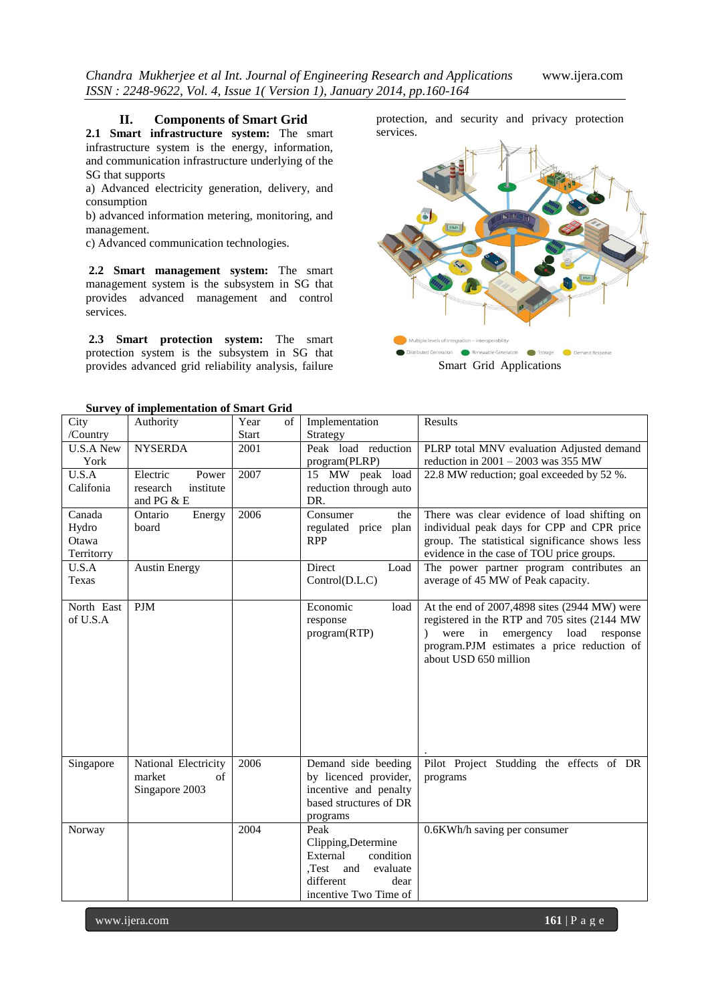#### **II. Components of Smart Grid**

**2.1 Smart infrastructure system:** The smart infrastructure system is the energy, information, and communication infrastructure underlying of the SG that supports

a) Advanced electricity generation, delivery, and consumption

b) advanced information metering, monitoring, and management.

c) Advanced communication technologies.

**2.2 Smart management system:** The smart management system is the subsystem in SG that provides advanced management and control services.

**2.3 Smart protection system:** The smart protection system is the subsystem in SG that provides advanced grid reliability analysis, failure

protection, and security and privacy protection services.



**Survey of implementation of Smart Grid**

|                  | Survey or imprementation or Smart Griu |              |    |                        |                                                |
|------------------|----------------------------------------|--------------|----|------------------------|------------------------------------------------|
| City             | Authority                              | Year         | of | Implementation         | Results                                        |
| /Country         |                                        | <b>Start</b> |    | Strategy               |                                                |
| <b>U.S.A New</b> | <b>NYSERDA</b>                         | 2001         |    | Peak load reduction    | PLRP total MNV evaluation Adjusted demand      |
| York             |                                        |              |    | program(PLRP)          | reduction in $2001 - 2003$ was 355 MW          |
| U.S.A            | Electric<br>Power                      | 2007         |    | 15 MW peak load        | 22.8 MW reduction; goal exceeded by 52 %.      |
| Califonia        | research<br>institute                  |              |    | reduction through auto |                                                |
|                  | and PG & E                             |              |    | DR.                    |                                                |
| Canada           | Ontario<br>Energy                      | 2006         |    | Consumer<br>the        | There was clear evidence of load shifting on   |
| Hydro            | board                                  |              |    | regulated price plan   | individual peak days for CPP and CPR price     |
| Otawa            |                                        |              |    | <b>RPP</b>             | group. The statistical significance shows less |
| Territorry       |                                        |              |    |                        | evidence in the case of TOU price groups.      |
| U.S.A            | <b>Austin Energy</b>                   |              |    | Direct<br>Load         | The power partner program contributes an       |
| Texas            |                                        |              |    | Control(D.L.C)         | average of 45 MW of Peak capacity.             |
|                  |                                        |              |    |                        |                                                |
| North East       | <b>PJM</b>                             |              |    | Economic<br>load       | At the end of 2007,4898 sites (2944 MW) were   |
| of U.S.A         |                                        |              |    | response               | registered in the RTP and 705 sites (2144 MW)  |
|                  |                                        |              |    | program(RTP)           | were in emergency<br>load<br>response          |
|                  |                                        |              |    |                        | program.PJM estimates a price reduction of     |
|                  |                                        |              |    |                        | about USD 650 million                          |
|                  |                                        |              |    |                        |                                                |
|                  |                                        |              |    |                        |                                                |
|                  |                                        |              |    |                        |                                                |
|                  |                                        |              |    |                        |                                                |
|                  |                                        |              |    |                        |                                                |
|                  |                                        |              |    |                        |                                                |
|                  |                                        |              |    |                        |                                                |
| Singapore        | National Electricity                   | 2006         |    | Demand side beeding    | Pilot Project Studding the effects of DR       |
|                  | of<br>market                           |              |    | by licenced provider,  | programs                                       |
|                  | Singapore 2003                         |              |    | incentive and penalty  |                                                |
|                  |                                        |              |    | based structures of DR |                                                |
|                  |                                        |              |    | programs               |                                                |
| Norway           |                                        | 2004         |    | Peak                   | 0.6KWh/h saving per consumer                   |
|                  |                                        |              |    | Clipping, Determine    |                                                |
|                  |                                        |              |    | External<br>condition  |                                                |
|                  |                                        |              |    | Test and<br>evaluate   |                                                |
|                  |                                        |              |    | different<br>dear      |                                                |
|                  |                                        |              |    | incentive Two Time of  |                                                |
|                  |                                        |              |    |                        |                                                |

www.ijera.com **161** | P a g e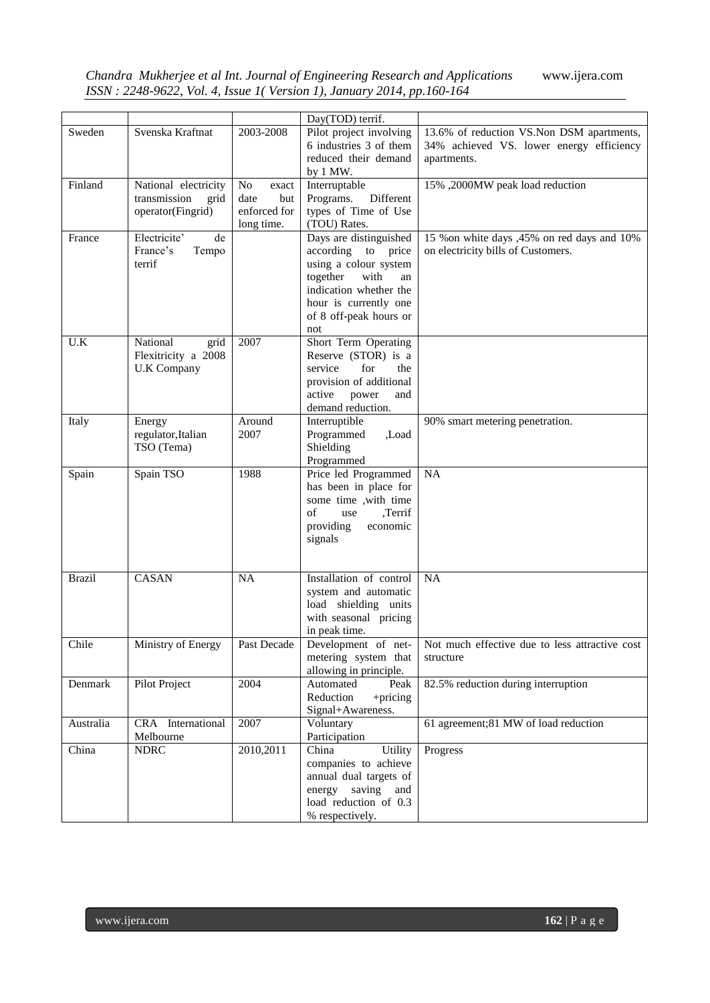*Chandra Mukherjee et al Int. Journal of Engineering Research and Applications* www.ijera.com *ISSN : 2248-9622, Vol. 4, Issue 1( Version 1), January 2014, pp.160-164*

|               |                                                                   |                                                          | Day(TOD) terrif.                                                                                                                                                                    |                                                                                                      |
|---------------|-------------------------------------------------------------------|----------------------------------------------------------|-------------------------------------------------------------------------------------------------------------------------------------------------------------------------------------|------------------------------------------------------------------------------------------------------|
| Sweden        | Svenska Kraftnat                                                  | 2003-2008                                                | Pilot project involving<br>6 industries 3 of them<br>reduced their demand<br>by 1 MW.                                                                                               | 13.6% of reduction VS.Non DSM apartments,<br>34% achieved VS. lower energy efficiency<br>apartments. |
| Finland       | National electricity<br>transmission<br>grid<br>operator(Fingrid) | No<br>exact<br>date<br>but<br>enforced for<br>long time. | Interruptable<br>Programs.<br>Different<br>types of Time of Use<br>(TOU) Rates.                                                                                                     | 15%, 2000MW peak load reduction                                                                      |
| France        | Electricite'<br>de<br>France's<br>Tempo<br>terrif                 |                                                          | Days are distinguished<br>according to price<br>using a colour system<br>with<br>together<br>an<br>indication whether the<br>hour is currently one<br>of 8 off-peak hours or<br>not | 15 % on white days ,45% on red days and 10%<br>on electricity bills of Customers.                    |
| U.K           | National<br>grid<br>Flexitricity a 2008<br><b>U.K Company</b>     | 2007                                                     | Short Term Operating<br>Reserve (STOR) is a<br>service<br>for<br>the<br>provision of additional<br>active<br>power<br>and<br>demand reduction.                                      |                                                                                                      |
| Italy         | Energy<br>regulator, Italian<br>TSO (Tema)                        | Around<br>2007                                           | Interruptible<br>Programmed<br>Load.<br>Shielding<br>Programmed                                                                                                                     | 90% smart metering penetration.                                                                      |
| Spain         | Spain TSO                                                         | 1988                                                     | Price led Programmed<br>has been in place for<br>some time , with time<br>,Terrif<br>οf<br>use<br>providing<br>economic<br>signals                                                  | NA                                                                                                   |
| <b>Brazil</b> | <b>CASAN</b>                                                      | <b>NA</b>                                                | Installation of control<br>system and automatic<br>load shielding units<br>with seasonal pricing<br>in peak time.                                                                   | NA                                                                                                   |
| Chile         | Ministry of Energy                                                | Past Decade                                              | metering system that<br>allowing in principle.                                                                                                                                      | Development of net- Not much effective due to less attractive cost<br>structure                      |
| Denmark       | Pilot Project                                                     | 2004                                                     | Automated<br>Peak<br>Reduction<br>$+$ pricing<br>Signal+Awareness.                                                                                                                  | 82.5% reduction during interruption                                                                  |
| Australia     | CRA International<br>Melbourne                                    | 2007                                                     | Voluntary<br>Participation                                                                                                                                                          | 61 agreement;81 MW of load reduction                                                                 |
| China         | <b>NDRC</b>                                                       | 2010,2011                                                | Utility<br>China<br>companies to achieve<br>annual dual targets of<br>saving<br>energy<br>and<br>load reduction of 0.3<br>% respectively.                                           | Progress                                                                                             |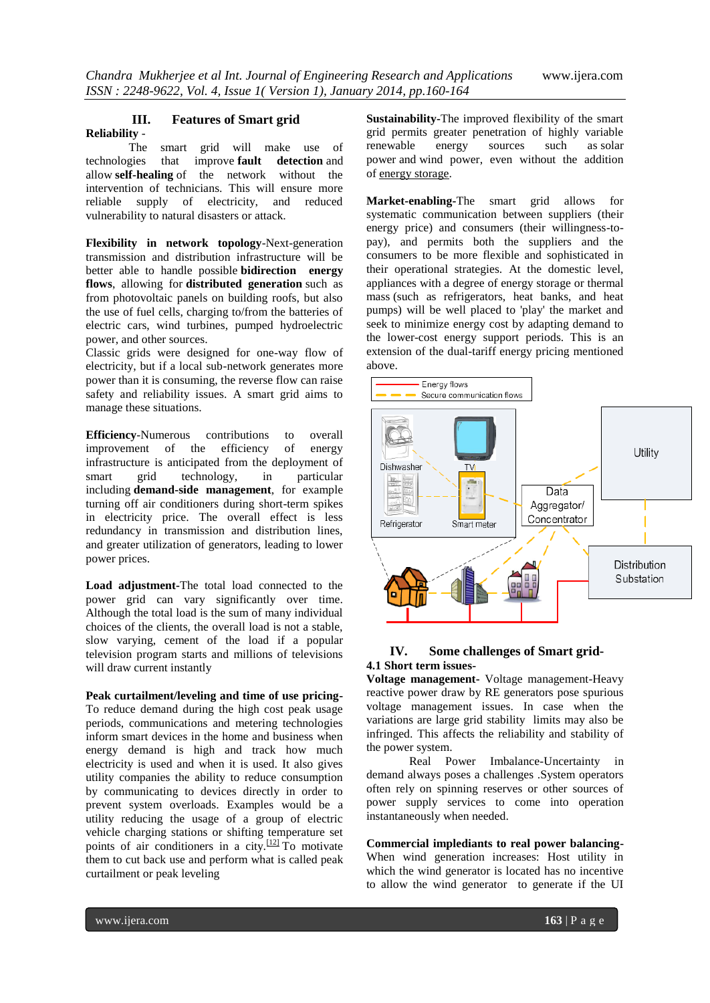#### **III. Features of Smart grid Reliability** -

The smart grid will make use of technologies that improve **[fault detection](http://en.wikipedia.org/wiki/Power_quality#Introduction)** and allow **[self-healing](http://en.wikipedia.org/wiki/Power_quality#Smart_grids_and_power_quality)** of the network without the intervention of technicians. This will ensure more reliable supply of electricity, and reduced vulnerability to natural disasters or attack.

**Flexibility in network topology**-Next-generation transmission and distribution infrastructure will be better able to handle possible **bidirection energy flows**, allowing for **[distributed generation](http://en.wikipedia.org/wiki/Distributed_generation)** such as from photovoltaic panels on building roofs, but also the use of fuel cells, charging to/from the batteries of electric cars, wind turbines, pumped hydroelectric power, and other sources.

Classic grids were designed for one-way flow of electricity, but if a local sub-network generates more power than it is consuming, the reverse flow can raise safety and reliability issues. A smart grid aims to manage these situations.

**Efficiency**-Numerous contributions to overall improvement of the efficiency of energy infrastructure is anticipated from the deployment of smart grid technology, in particular including **demand-side management**, for example turning off air conditioners during short-term spikes in electricity price. The overall effect is less redundancy in transmission and distribution lines, and greater utilization of generators, leading to lower power prices.

**Load adjustment-**The total load connected to the power grid can vary significantly over time. Although the total load is the sum of many individual choices of the clients, the overall load is not a stable, slow varying, cement of the load if a popular television program starts and millions of televisions will draw current instantly

**Peak curtailment/leveling and time of use pricing-**To reduce demand during the high cost peak usage periods, communications and metering technologies inform smart devices in the home and business when energy demand is high and track how much electricity is used and when it is used. It also gives utility companies the ability to reduce consumption by communicating to devices directly in order to prevent system overloads. Examples would be a utility reducing the usage of a group of electric vehicle charging stations or shifting temperature set points of air conditioners in a city.<sup>[\[12\]](http://en.wikipedia.org/wiki/Smart_grid#cite_note-TCL1-12)</sup> To motivate them to cut back use and perform what is called peak curtailment or peak leveling

**Sustainability-**The improved flexibility of the smart grid permits greater penetration of highly variable renewable energy sources such as [solar](http://en.wikipedia.org/wiki/Solar_power)  [power](http://en.wikipedia.org/wiki/Solar_power) and [wind power,](http://en.wikipedia.org/wiki/Wind_power) even without the addition of [energy storage.](http://en.wikipedia.org/wiki/Energy_storage)

**Market-enabling-**The smart grid allows for systematic communication between suppliers (their energy price) and consumers (their willingness-topay), and permits both the suppliers and the consumers to be more flexible and sophisticated in their operational strategies. At the domestic level, appliances with a degree of energy storage or [thermal](http://en.wikipedia.org/wiki/Thermal_mass)  [mass](http://en.wikipedia.org/wiki/Thermal_mass) (such as refrigerators, heat banks, and heat pumps) will be well placed to 'play' the market and seek to minimize energy cost by adapting demand to the lower-cost energy support periods. This is an extension of the dual-tariff energy pricing mentioned above.



# **IV. Some challenges of Smart grid-4.1 Short term issues-**

**Voltage management-** Voltage management-Heavy reactive power draw by RE generators pose spurious voltage management issues. In case when the variations are large grid stability limits may also be infringed. This affects the reliability and stability of the power system.

Real Power Imbalance-Uncertainty in demand always poses a challenges .System operators often rely on spinning reserves or other sources of power supply services to come into operation instantaneously when needed.

**Commercial implediants to real power balancing-**When wind generation increases: Host utility in which the wind generator is located has no incentive to allow the wind generator to generate if the UI